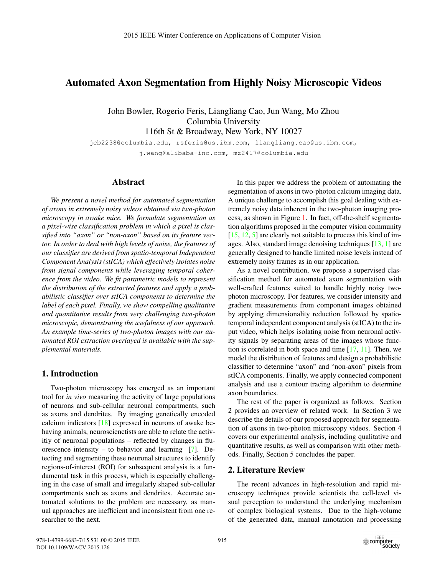# Automated Axon Segmentation from Highly Noisy Microscopic Videos

John Bowler, Rogerio Feris, Liangliang Cao, Jun Wang, Mo Zhou Columbia University 116th St & Broadway, New York, NY 10027

jcb2238@columbia.edu, rsferis@us.ibm.com, liangliang.cao@us.ibm.com, j.wang@alibaba-inc.com, mz2417@columbia.edu

### Abstract

*We present a novel method for automated segmentation of axons in extremely noisy videos obtained via two-photon microscopy in awake mice. We formulate segmentation as a pixel-wise classification problem in which a pixel is classified into "axon" or "non-axon" based on its feature vector. In order to deal with high levels of noise, the features of our classifier are derived from spatio-temporal Independent Component Analysis (stICA) which effectively isolates noise from signal components while leveraging temporal coherence from the video. We fit parametric models to represent the distribution of the extracted features and apply a probabilistic classifier over stICA components to determine the label of each pixel. Finally, we show compelling qualitative and quantitative results from very challenging two-photon microscopic, demonstrating the usefulness of our approach. An example time-series of two-photon images with our automated ROI extraction overlayed is available with the supplemental materials.*

# 1. Introduction

Two-photon microscopy has emerged as an important tool for *in vivo* measuring the activity of large populations of neurons and sub-cellular neuronal compartments, such as axons and dendrites. By imaging genetically encoded calcium indicators [18] expressed in neurons of awake behaving animals, neuroscienctists are able to relate the activitiy of neuronal populations – reflected by changes in fluorescence intensity – to behavior and learning  $[7]$ . Detecting and segmenting these neuronal structures to identify regions-of-interest (ROI) for subsequent analysis is a fundamental task in this process, which is especially challenging in the case of small and irregularly shaped sub-cellular compartments such as axons and dendrites. Accurate automated solutions to the problem are necessary, as manual approaches are inefficient and inconsistent from one researcher to the next.

In this paper we address the problem of automating the segmentation of axons in two-photon calcium imaging data. A unique challenge to accomplish this goal dealing with extremely noisy data inherent in the two-photon imaging process, as shown in Figure 1. In fact, off-the-shelf segmentation algorithms proposed in the computer vision community  $[15, 12, 5]$  are clearly not suitable to process this kind of images. Also, standard image denoising techniques  $[13, 1]$  are generally designed to handle limited noise levels instead of extremely noisy frames as in our application.

As a novel contribution, we propose a supervised classification method for automated axon segmentation with well-crafted features suited to handle highly noisy twophoton microscopy. For features, we consider intensity and gradient measurements from component images obtained by applying dimensionality reduction followed by spatiotemporal independent component analysis (stICA) to the input video, which helps isolating noise from neuronal activity signals by separating areas of the images whose function is correlated in both space and time  $[17, 11]$ . Then, we model the distribution of features and design a probabilistic classifier to determine "axon" and "non-axon" pixels from stICA components. Finally, we apply connected component analysis and use a contour tracing algorithm to determine axon boundaries.

The rest of the paper is organized as follows. Section 2 provides an overview of related work. In Section 3 we describe the details of our proposed approach for segmentation of axons in two-photon microscopy videos. Section 4 covers our experimental analysis, including qualitative and quantitative results, as well as comparison with other methods. Finally, Section 5 concludes the paper.

#### 2. Literature Review

The recent advances in high-resolution and rapid microscopy techniques provide scientists the cell-level visual perception to understand the underlying mechanism of complex biological systems. Due to the high-volume of the generated data, manual annotation and processing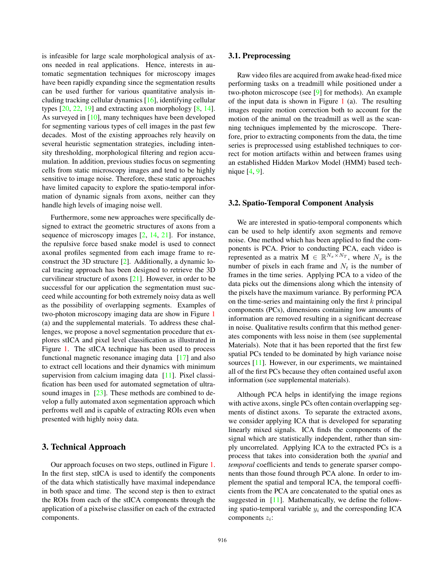is infeasible for large scale morphological analysis of axons needed in real applications. Hence, interests in automatic segmentation techniques for microscopy images have been rapidly expanding since the segmentation results can be used further for various quantitative analysis including tracking cellular dynamics [16], identifying cellular types  $[20, 22, 19]$  and extracting axon morphology  $[8, 14]$ . As surveyed in [10], many techniques have been developed for segmenting various types of cell images in the past few decades. Most of the existing approaches rely heavily on several heuristic segmentation strategies, including intensity thresholding, morphological filtering and region accumulation. In addition, previous studies focus on segmenting cells from static microscopy images and tend to be highly sensitive to image noise. Therefore, these static approaches have limited capacity to explore the spatio-temporal information of dynamic signals from axons, neither can they handle high levels of imaging noise well.

Furthermore, some new approaches were specifically designed to extract the geometric structures of axons from a sequence of microscopy images  $[2, 14, 21]$ . For instance, the repulsive force based snake model is used to connect axonal profiles segmented from each image frame to reconstruct the 3D structure [2]. Additionally, a dynamic local tracing approach has been designed to retrieve the 3D curvilinear structure of axons [21]. However, in order to be successful for our application the segmentation must succeed while accounting for both extremely noisy data as well as the possibility of overlapping segments. Examples of two-photon microscopy imaging data are show in Figure 1 (a) and the supplemental materials. To address these challenges, we propose a novel segmentation procedure that explores stICA and pixel level classification as illustrated in Figure 1. The stICA technique has been used to process functional magnetic resonance imaging data [17] and also to extract cell locations and their dynamics with minimum supervision from calcium imaging data [11]. Pixel classification has been used for automated segmetation of ultrasound images in [23]. These methods are combined to develop a fully automated axon segmentation approach which perfroms well and is capable of extracting ROIs even when presented with highly noisy data.

# 3. Technical Approach

Our approach focuses on two steps, outlined in Figure 1. In the first step, stICA is used to identify the components of the data which statistically have maximal independance in both space and time. The second step is then to extract the ROIs from each of the stICA components through the application of a pixelwise classifier on each of the extracted components.

Raw video files are acquired from awake head-fixed mice performing tasks on a treadmill while positioned under a two-photon microscope (see [9] for methods). An example of the input data is shown in Figure 1 (a). The resulting images require motion correction both to account for the motion of the animal on the treadmill as well as the scanning techniques implemented by the microscope. Therefore, prior to extracting components from the data, the time series is preprocessed using established techniques to correct for motion artifacts within and between frames using an established Hidden Markov Model (HMM) based technique [4, 9].

### 3.2. Spatio-Temporal Component Analysis

We are interested in spatio-temporal components which can be used to help identify axon segments and remove noise. One method which has been applied to find the components is PCA. Prior to conducting PCA, each video is represented as a matrix  $\mathbf{M} \in \mathbb{R}^{N_x \times N_T}$ , where  $N_x$  is the number of pixels in each frame and  $N_t$  is the number of frames in the time series. Applying PCA to a video of the data picks out the dimensions along which the intensity of the pixels have the maximum variance. By performing PCA on the time-series and maintaining only the first  $k$  principal components (PCs), dimensions containing low amounts of information are removed resulting in a significant decrease in noise. Qualitative results confirm that this method generates components with less noise in them (see supplemental Materials). Note that it has been reported that the first few spatial PCs tended to be dominated by high variance noise sources [11]. However, in our experiments, we maintained all of the first PCs because they often contained useful axon information (see supplemental materials).

Although PCA helps in identifying the image regions with active axons, single PCs often contain overlapping segments of distinct axons. To separate the extracted axons, we consider applying ICA that is developed for separating linearly mixed signals. ICA finds the components of the signal which are statistically independent, rather than simply uncorrelated. Applying ICA to the extracted PCs is a process that takes into consideration both the *spatial* and *temporal* coefficients and tends to generate sparser components than those found through PCA alone. In order to implement the spatial and temporal ICA, the temporal coefficients from the PCA are concatenated to the spatial ones as suggested in  $[11]$ . Mathematically, we define the following spatio-temporal variable  $y_i$  and the corresponding ICA components  $z_i$ :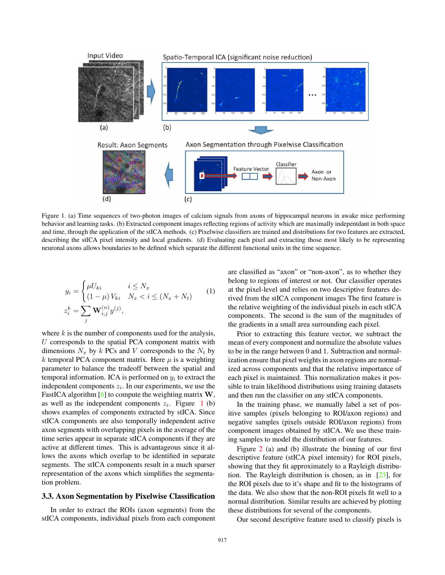

Figure 1. (a) Time sequences of two-photon images of calcium signals from axons of hippocampal neurons in awake mice performing behavior and learning tasks. (b) Extracted component images reflecting regions of activity which are maximally indepentdant in both space and time, through the application of the stICA methods. (c) Pixelwise classifiers are trained and distributions for two features are extracted, describing the stICA pixel intensity and local gradients. (d) Evaluating each pixel and extracting those most likely to be representing neuronal axons allows boundaries to be defined which separate the different functional units in the time sequence.

$$
y_i = \begin{cases} \mu U_{ki} & i \le N_x \\ (1 - \mu) V_{ki} & N_x < i \le (N_x + N_t) \end{cases}
$$
 (1)  

$$
z_i^k = \sum_j \mathbf{W}_{i,j}^{(n)} y^{(j)},
$$

where  $k$  is the number of components used for the analysis,  $U$  corresponds to the spatial PCA component matrix with dimensions  $N_x$  by k PCs and V corresponds to the  $N_t$  by k temporal PCA component matrix. Here  $\mu$  is a weighting parameter to balance the tradeoff between the spatial and temporal information. ICA is performed on  $y_i$  to extract the independent components  $z_i$ . In our experiments, we use the FastICA algorithm [6] to compute the weighting matrix **W**, as well as the independent components  $z_i$ . Figure 1 (b) shows examples of components extracted by stICA. Since stICA components are also temporally independent active axon segments with overlapping pixels in the average of the time series appear in separate stICA components if they are active at different times. This is advantageous since it allows the axons which overlap to be identified in separate segments. The stICA components result in a much sparser representation of the axons which simplifies the segmentation problem.

#### 3.3. Axon Segmentation by Pixelwise Classification

In order to extract the ROIs (axon segments) from the stICA components, individual pixels from each component

are classified as "axon" or "non-axon", as to whether they belong to regions of interest or not. Our classifier operates at the pixel-level and relies on two descriptive features derived from the stICA component images The first feature is the relative weighting of the individual pixels in each stICA components. The second is the sum of the magnitudes of the gradients in a small area surrounding each pixel.

Prior to extracting this feature vector, we subtract the mean of every component and normalize the absolute values to be in the range between 0 and 1. Subtraction and normalization ensure that pixel weights in axon regions are normalized across components and that the relative importance of each pixel is maintained. This normalization makes it possible to train likelihood distributions using training datasets and then run the classifier on any stICA components.

In the training phase, we manually label a set of positive samples (pixels belonging to ROI/axon regions) and negative samples (pixels outside ROI/axon regions) from component images obtained by stICA. We use these training samples to model the distribution of our features.

Figure 2 (a) and (b) illustrate the binning of our first descriptive feature (stICA pixel intensity) for ROI pixels, showing that they fit approximately to a Rayleigh distribution. The Rayleigh distribution is chosen, as in [23], for the ROI pixels due to it's shape and fit to the histograms of the data. We also show that the non-ROI pixels fit well to a normal distribution. Similar results are achieved by plotting these distributions for several of the components.

Our second descriptive feature used to classify pixels is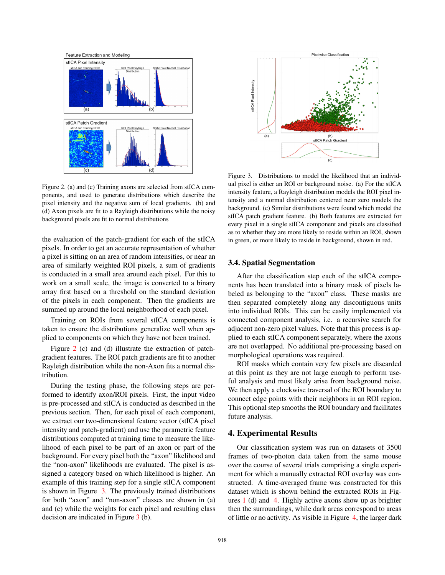

Figure 2. (a) and (c) Training axons are selected from stICA components, and used to generate distributions which describe the pixel intensity and the negative sum of local gradients. (b) and (d) Axon pixels are fit to a Rayleigh distributions while the noisy background pixels are fit to normal distributions

the evaluation of the patch-gradient for each of the stICA pixels. In order to get an accurate representation of whether a pixel is sitting on an area of random intensities, or near an area of similarly weighted ROI pixels, a sum of gradients is conducted in a small area around each pixel. For this to work on a small scale, the image is converted to a binary array first based on a threshold on the standard deviation of the pixels in each component. Then the gradients are summed up around the local neighborhood of each pixel.

Training on ROIs from several stICA components is taken to ensure the distributions generalize well when applied to components on which they have not been trained.

Figure 2 (c) and (d) illustrate the extraction of patchgradient features. The ROI patch gradients are fit to another Rayleigh distribution while the non-Axon fits a normal distribution.

During the testing phase, the following steps are performed to identify axon/ROI pixels. First, the input video is pre-processed and stICA is conducted as described in the previous section. Then, for each pixel of each component, we extract our two-dimensional feature vector (stICA pixel intensity and patch-gradient) and use the parametric feature distributions computed at training time to measure the likelihood of each pixel to be part of an axon or part of the background. For every pixel both the "axon" likelihood and the "non-axon" likelihoods are evaluated. The pixel is assigned a category based on which likelihood is higher. An example of this training step for a single stICA component is shown in Figure 3. The previously trained distributions for both "axon" and "non-axon" classes are shown in (a) and (c) while the weights for each pixel and resulting class decision are indicated in Figure 3 (b).



Figure 3. Distributions to model the likelihood that an individual pixel is either an ROI or background noise. (a) For the stICA intensity feature, a Rayleigh distribution models the ROI pixel intensity and a normal distribution centered near zero models the background. (c) Similar distributions were found which model the stICA patch gradient feature. (b) Both features are extracted for every pixel in a single stICA component and pixels are classified as to whether they are more likely to reside within an ROI, shown in green, or more likely to reside in background, shown in red.

### 3.4. Spatial Segmentation

After the classification step each of the stICA components has been translated into a binary mask of pixels labeled as belonging to the "axon" class. These masks are then separated completely along any discontiguous units into individual ROIs. This can be easily implemented via connected component analysis, i.e. a recursive search for adjacent non-zero pixel values. Note that this process is applied to each stICA component separately, where the axons are not overlapped. No additional pre-processing based on morphological operations was required.

ROI masks which contain very few pixels are discarded at this point as they are not large enough to perform useful analysis and most likely arise from background noise. We then apply a clockwise traversal of the ROI boundary to connect edge points with their neighbors in an ROI region. This optional step smooths the ROI boundary and facilitates future analysis.

## 4. Experimental Results

Our classification system was run on datasets of 3500 frames of two-photon data taken from the same mouse over the course of several trials comprising a single experiment for which a manually extracted ROI overlay was constructed. A time-averaged frame was constructed for this dataset which is shown behind the extracted ROIs in Figures 1 (d) and 4. Highly active axons show up as brighter then the surroundings, while dark areas correspond to areas of little or no activity. As visible in Figure 4, the larger dark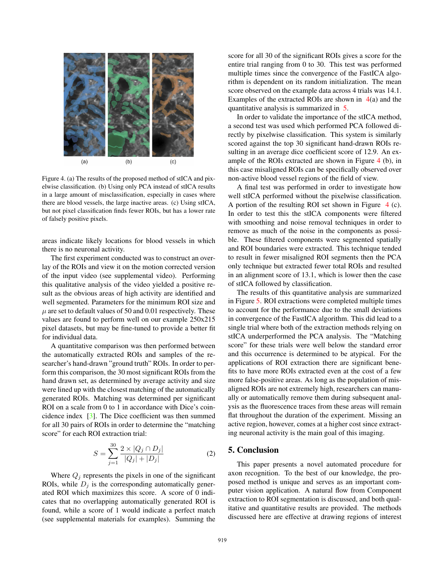

Figure 4. (a) The results of the proposed method of stICA and pixelwise classification. (b) Using only PCA instead of stICA results in a large amount of misclassification, especially in cases where there are blood vessels, the large inactive areas. (c) Using stICA, but not pixel classification finds fewer ROIs, but has a lower rate of falsely positive pixels.

areas indicate likely locations for blood vessels in which there is no neuronal activity.

The first experiment conducted was to construct an overlay of the ROIs and view it on the motion corrected version of the input video (see supplemental video). Performing this qualitative analysis of the video yielded a positive result as the obvious areas of high activity are identified and well segmented. Parameters for the minimum ROI size and  $\mu$  are set to default values of 50 and 0.01 respectively. These values are found to perform well on our example 250x215 pixel datasets, but may be fine-tuned to provide a better fit for individual data.

A quantitative comparison was then performed between the automatically extracted ROIs and samples of the researcher's hand-drawn "ground truth" ROIs. In order to perform this comparison, the 30 most significant ROIs from the hand drawn set, as determined by average activity and size were lined up with the closest matching of the automatically generated ROIs. Matching was determined per significant ROI on a scale from 0 to 1 in accordance with Dice's coincidence index [3]. The Dice coefficient was then summed for all 30 pairs of ROIs in order to determine the "matching score" for each ROI extraction trial:

$$
S = \sum_{j=1}^{30} \frac{2 \times |Q_j \cap D_j|}{|Q_j| + |D_j|} \tag{2}
$$

Where  $Q_i$  represents the pixels in one of the significant ROIs, while  $D_i$  is the corresponding automatically generated ROI which maximizes this score. A score of 0 indicates that no overlapping automatically generated ROI is found, while a score of 1 would indicate a perfect match (see supplemental materials for examples). Summing the

score for all 30 of the significant ROIs gives a score for the entire trial ranging from 0 to 30. This test was performed multiple times since the convergence of the FastICA algorithm is dependent on its random initialization. The mean score observed on the example data across 4 trials was 14.1. Examples of the extracted ROIs are shown in  $4(a)$  and the quantitative analysis is summarized in 5.

In order to validate the importance of the stICA method, a second test was used which performed PCA followed directly by pixelwise classification. This system is similarly scored against the top 30 significant hand-drawn ROIs resulting in an average dice coefficient score of 12.9. An example of the ROIs extracted are shown in Figure 4 (b), in this case misaligned ROIs can be specifically observed over non-active blood vessel regions of the field of view.

A final test was performed in order to investigate how well stICA performed without the pixelwise classification. A portion of the resulting ROI set shown in Figure  $4$  (c). In order to test this the stICA components were filtered with smoothing and noise removal techniques in order to remove as much of the noise in the components as possible. These filtered components were segmented spatially and ROI boundaries were extracted. This technique tended to result in fewer misaligned ROI segments then the PCA only technique but extracted fewer total ROIs and resulted in an alignment score of 13.1, which is lower then the case of stICA followed by classification.

The results of this quantitative analysis are summarized in Figure 5. ROI extractions were completed multiple times to account for the performance due to the small deviations in convergence of the FastICA algorithm. This did lead to a single trial where both of the extraction methods relying on stICA underperformed the PCA analysis. The "Matching score" for these trials were well below the standard error and this occurrence is determined to be atypical. For the applications of ROI extraction there are significant benefits to have more ROIs extracted even at the cost of a few more false-positive areas. As long as the population of misaligned ROIs are not extremely high, researchers can manually or automatically remove them during subsequent analysis as the fluorescence traces from these areas will remain flat throughout the duration of the experiment. Missing an active region, however, comes at a higher cost since extracting neuronal activity is the main goal of this imaging.

# 5. Conclusion

This paper presents a novel automated procedure for axon recognition. To the best of our knowledge, the proposed method is unique and serves as an important computer vision application. A natural flow from Component extraction to ROI segmentation is discussed, and both qualitative and quantitative results are provided. The methods discussed here are effective at drawing regions of interest